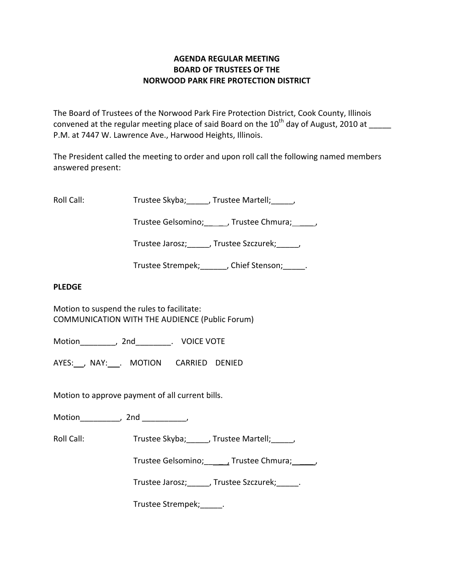# **AGENDA REGULAR MEETING BOARD OF TRUSTEES OF THE NORWOOD PARK FIRE PROTECTION DISTRICT**

The Board of Trustees of the Norwood Park Fire Protection District, Cook County, Illinois convened at the regular meeting place of said Board on the  $10^{th}$  day of August, 2010 at P.M. at 7447 W. Lawrence Ave., Harwood Heights, Illinois.

The President called the meeting to order and upon roll call the following named members answered present:

Roll Call: Trustee Skyba; J. Trustee Martell; Trustee Martell;

Trustee Gelsomino; frustee Chmura;  $\qquad$ 

Trustee Jarosz; J. Trustee Szczurek; J.

Trustee Strempek; fight of Stenson; the Stenson;

## **PLEDGE**

Motion to suspend the rules to facilitate: COMMUNICATION WITH THE AUDIENCE (Public Forum)

Motion \_\_\_\_\_\_\_\_, 2nd \_\_\_\_\_\_\_\_. VOICE VOTE

AYES: NAY: MOTION CARRIED DENIED

Motion to approve payment of all current bills.

Motion\_\_\_\_\_\_\_\_\_, 2nd \_\_\_\_\_\_\_\_\_\_,

Roll Call: Trustee Skyba; J. Trustee Martell; Trustee Martell;

Trustee Gelsomino; \_\_\_\_\_, Trustee Chmura; \_\_\_\_\_\_,

Trustee Jarosz; Justee Szczurek; Latenberg

Trustee Strempek;\_\_\_\_\_.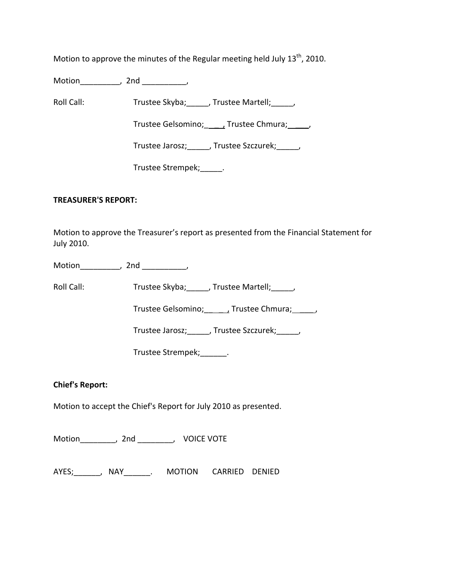Motion to approve the minutes of the Regular meeting held July  $13^{th}$ , 2010.

Motion\_\_\_\_\_\_\_\_\_, 2nd \_\_\_\_\_\_\_\_\_\_,

Roll Call: Trustee Skyba; Trustee Martell; Trustee Martell;

Trustee Gelsomino; \_\_\_\_\_\_, Trustee Chmura; \_\_\_\_\_,

Trustee Jarosz;\_\_\_\_\_, Trustee Szczurek;\_\_\_\_\_,

Trustee Strempek; [11]

## **TREASURER'S REPORT:**

Motion to approve the Treasurer's report as presented from the Financial Statement for July 2010.

Motion the contract of the contract of the contract of the contract of the contract of the contract of the contract of the contract of the contract of the contract of the contract of the contract of the contract of the con

Roll Call: Trustee Skyba; \_\_\_\_, Trustee Martell; \_\_\_\_\_,

Trustee Gelsomino; \_\_\_\_\_\_, Trustee Chmura; \_\_\_\_\_,

Trustee Jarosz;\_\_\_\_\_, Trustee Szczurek;\_\_\_\_\_,

Trustee Strempek;\_\_\_\_\_\_.

# **Chief's Report:**

Motion to accept the Chief's Report for July 2010 as presented.

Motion\_\_\_\_\_\_\_\_, 2nd \_\_\_\_\_\_\_\_, VOICE VOTE

AYES;\_\_\_\_\_\_, NAY\_\_\_\_\_\_. MOTION CARRIED DENIED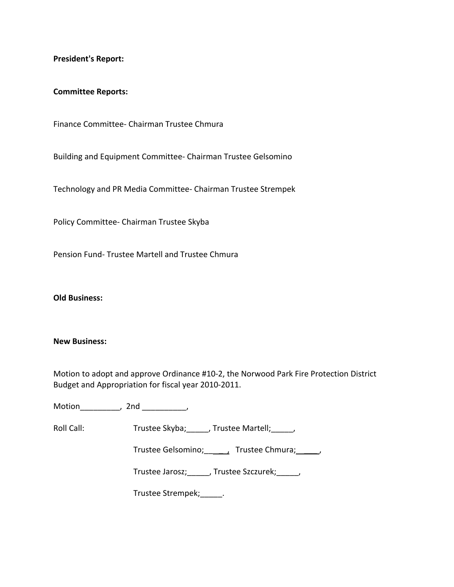**President's Report:**

#### **Committee Reports:**

Finance Committee‐ Chairman Trustee Chmura

Building and Equipment Committee‐ Chairman Trustee Gelsomino

Technology and PR Media Committee‐ Chairman Trustee Strempek

Policy Committee‐ Chairman Trustee Skyba

Pension Fund‐ Trustee Martell and Trustee Chmura

**Old Business:**

#### **New Business:**

Motion to adopt and approve Ordinance #10‐2, the Norwood Park Fire Protection District Budget and Appropriation for fiscal year 2010‐2011.

Motion\_\_\_\_\_\_\_\_\_, 2nd \_\_\_\_\_\_\_\_\_\_,

Roll Call: Trustee Skyba; Trustee Martell; Trustee Martell;

Trustee Gelsomino; \_\_\_\_\_\_, Trustee Chmura; \_\_\_\_\_,

Trustee Jarosz;\_\_\_\_\_, Trustee Szczurek;\_\_\_\_\_,

Trustee Strempek;\_\_\_\_\_.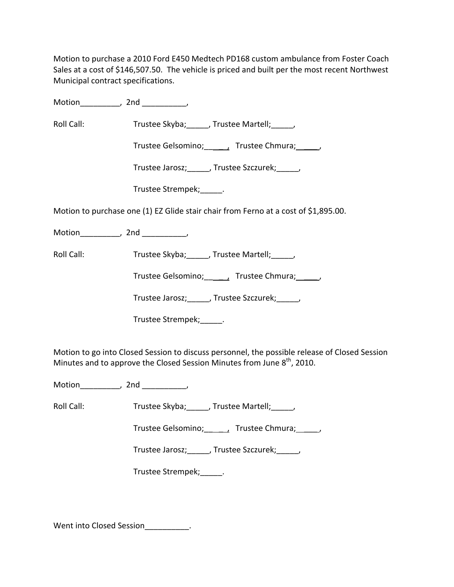Motion to purchase a 2010 Ford E450 Medtech PD168 custom ambulance from Foster Coach Sales at a cost of \$146,507.50. The vehicle is priced and built per the most recent Northwest Municipal contract specifications.

Motion the motion of the motion of the motion of the motion of the motion of the motion of the motion of the m<br>Second motion of the motion of the motion of the motion of the motion of the motion of the motion of the motio<br>

Roll Call: Trustee Skyba; Trustee Martell;

Trustee Gelsomino; \_\_\_\_\_, Trustee Chmura; \_\_\_\_\_,

Trustee Jarosz; Frustee Szczurek; Frustee Jarosz;

Trustee Strempek;\_\_\_\_\_.

Motion to purchase one (1) EZ Glide stair chair from Ferno at a cost of \$1,895.00.

Motion\_\_\_\_\_\_\_\_\_\_, 2nd \_\_\_\_\_\_\_\_\_,

Roll Call: Trustee Skyba; \_\_\_\_, Trustee Martell; \_\_\_\_,

Trustee Gelsomino; \_\_\_\_\_\_, Trustee Chmura; \_\_\_\_\_,

Trustee Jarosz; Justee Szczurek; Justee Szczurek;

Trustee Strempek;\_\_\_\_\_.

Motion to go into Closed Session to discuss personnel, the possible release of Closed Session Minutes and to approve the Closed Session Minutes from June  $8^{th}$ , 2010.

Motion\_\_\_\_\_\_\_\_\_, 2nd \_\_\_\_\_\_\_\_\_\_,

Roll Call: Trustee Skyba; J. Trustee Martell; Trustee Martell;

Trustee Gelsomino; frustee Chmura;  $\qquad$ ,

Trustee Jarosz;\_\_\_\_\_, Trustee Szczurek;\_\_\_\_\_,

Trustee Strempek;\_\_\_\_\_.

Went into Closed Session .